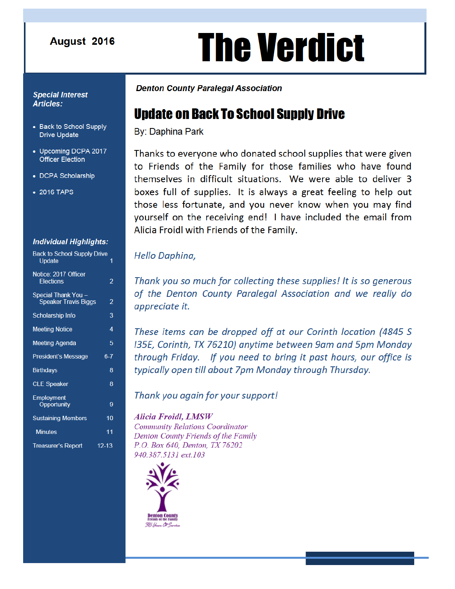#### August 2016

# **The Verdict**

#### **Special Interest Articles:**

- Back to School Supply **Drive Update**
- Upcoming DCPA 2017 **Officer Election**
- DCPA Scholarship
- 2016 TAPS

#### **Individual Highlights:**

| <b>Back to School Supply Drive</b> |
|------------------------------------|
| 2                                  |
| 2                                  |
| 3                                  |
| 4                                  |
| 5                                  |
| $6 - 7$                            |
| 8                                  |
| 8                                  |
| 9                                  |
| 10                                 |
| 11                                 |
| 12-13                              |
|                                    |

#### **Denton County Paralegal Association**

### **Undate on Back To School Supply Drive**

By: Daphina Park

Thanks to everyone who donated school supplies that were given to Friends of the Family for those families who have found themselves in difficult situations. We were able to deliver 3 boxes full of supplies. It is always a great feeling to help out those less fortunate, and you never know when you may find yourself on the receiving end! I have included the email from Alicia Froidl with Friends of the Family.

#### Hello Daphina,

Thank you so much for collecting these supplies! It is so generous of the Denton County Paralegal Association and we really do appreciate it.

These items can be dropped off at our Corinth location (4845 S I35E, Corinth, TX 76210) anytime between 9am and 5pm Monday through Friday. If you need to bring it past hours, our office is typically open till about 7pm Monday through Thursday.

Thank you again for your support!

#### **Alicia Froidl, LMSW**

**Community Relations Coordinator** Denton County Friends of the Family P.O. Box 640, Denton, TX 76202 940.387.5131 ext.103

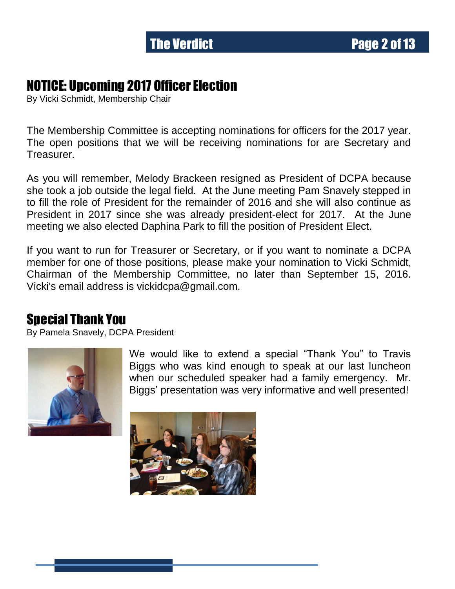# NOTICE: Upcoming 2017 Officer Election

By Vicki Schmidt, Membership Chair

The Membership Committee is accepting nominations for officers for the 2017 year. The open positions that we will be receiving nominations for are Secretary and Treasurer.

As you will remember, Melody Brackeen resigned as President of DCPA because she took a job outside the legal field. At the June meeting Pam Snavely stepped in to fill the role of President for the remainder of 2016 and she will also continue as President in 2017 since she was already president-elect for 2017. At the June meeting we also elected Daphina Park to fill the position of President Elect.

If you want to run for Treasurer or Secretary, or if you want to nominate a DCPA member for one of those positions, please make your nomination to Vicki Schmidt, Chairman of the Membership Committee, no later than September 15, 2016. Vicki's email address is vickidcpa@gmail.com.

### Special Thank You

By Pamela Snavely, DCPA President



We would like to extend a special "Thank You" to Travis Biggs who was kind enough to speak at our last luncheon when our scheduled speaker had a family emergency. Mr. Biggs' presentation was very informative and well presented!

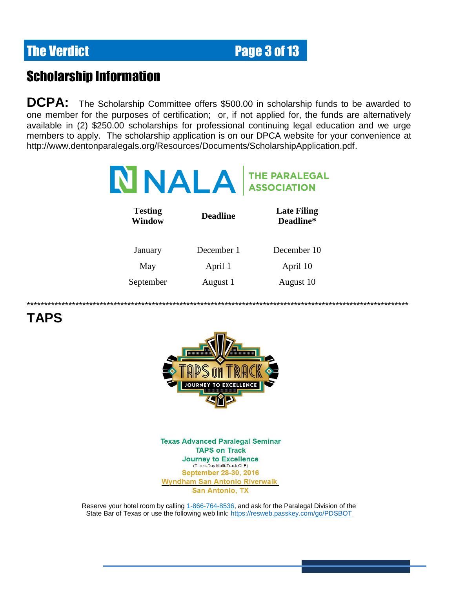# **The Verdict**

# **Page 3 of 13**

# **Scholarship Information**

**DCPA:** The Scholarship Committee offers \$500.00 in scholarship funds to be awarded to one member for the purposes of certification; or, if not applied for, the funds are alternatively available in (2) \$250.00 scholarships for professional continuing legal education and we urge members to apply. The scholarship application is on our DPCA website for your convenience at http://www.dentonparalegals.org/Resources/Documents/ScholarshipApplication.pdf.



**Deadline** 

**Testing Window**  **Late Filing** Deadline\*

December 10

January

May

December 1 April 1

August 1

April 10 August 10

September

**TAPS** 

\*\*\*\*\*\*\*\*\*\*\*\*\*\*\*\*\*\*\*\*\*\*\*



**Texas Advanced Paralegal Seminar TAPS on Track Journey to Excellence** (Three-Day Multi-Track CLE) September 28-30, 2016 **Wyndham San Antonio Riverwalk San Antonio, TX** 

Reserve your hotel room by calling 1-866-764-8536, and ask for the Paralegal Division of the State Bar of Texas or use the following web link: https://resweb.passkey.com/go/PDSBOT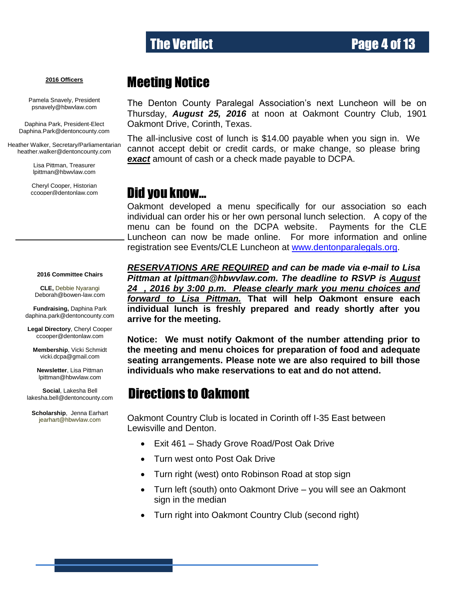#### **2016 Officers**

Pamela Snavely, President psnavely@hbwvlaw.com

Daphina Park, President-Elect Daphina.Park@dentoncounty.com

Heather Walker, Secretary/Parliamentarian heather.walker@dentoncounty.com

> Lisa Pittman, Treasurer lpittman@hbwvlaw.com

Cheryl Cooper, Historian ccooper@dentonlaw.com

#### Meeting Notice

The Denton County Paralegal Association's next Luncheon will be on Thursday, *August 25, 2016* at noon at Oakmont Country Club, 1901 Oakmont Drive, Corinth, Texas.

The all-inclusive cost of lunch is \$14.00 payable when you sign in. We cannot accept debit or credit cards, or make change, so please bring *exact* amount of cash or a check made payable to DCPA.

#### Did you know…

Oakmont developed a menu specifically for our association so each individual can order his or her own personal lunch selection. A copy of the menu can be found on the DCPA website. Payments for the CLE Luncheon can now be made online. For more information and online registration see Events/CLE Luncheon at www.dentonparalegals.org.

**2016 Committee Chairs**

**CLE,** Debbie Nyarangi Deborah@bowen-law.com

**Fundraising,** Daphina Park daphina.park@dentoncounty.com

**Legal Directory**, Cheryl Cooper ccooper@dentonlaw.com

**Membership**, Vicki Schmidt vicki.dcpa@gmail.com

**Newsletter**, Lisa Pittman lpittman@hbwvlaw.com

**Social**, Lakesha Bell lakesha.bell@dentoncounty.com

**Scholarship**, Jenna Earhart

*RESERVATIONS ARE REQUIRED and can be made via e-mail to Lisa Pittman at lpittman@hbwvlaw.com. The deadline to RSVP is August 24 , 2016 by 3:00 p.m. Please clearly mark you menu choices and forward to Lisa Pittman.* **That will help Oakmont ensure each individual lunch is freshly prepared and ready shortly after you arrive for the meeting.**

**Notice: We must notify Oakmont of the number attending prior to the meeting and menu choices for preparation of food and adequate seating arrangements. Please note we are also required to bill those individuals who make reservations to eat and do not attend.**

### Directions to Oakmont

jearhart@hbwvlaw.com Oakmont Country Club is located in Corinth off I-35 East between Lewisville and Denton.

- Exit 461 Shady Grove Road/Post Oak Drive
- Turn west onto Post Oak Drive
- Turn right (west) onto Robinson Road at stop sign
- Turn left (south) onto Oakmont Drive you will see an Oakmont sign in the median
- Turn right into Oakmont Country Club (second right)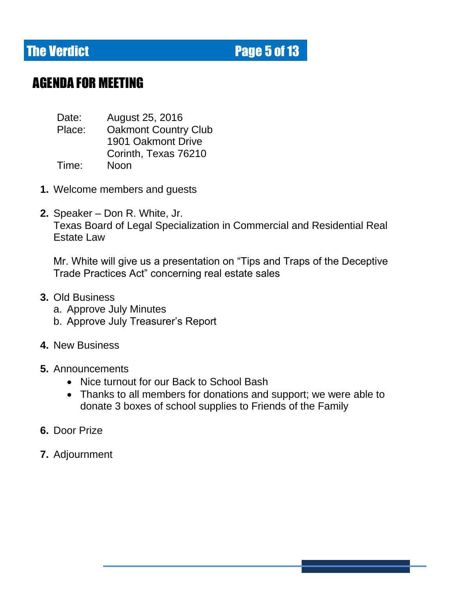# **The Verdict Community Community Page 5 of 13**

# AGENDA FOR MEETING

Date: August 25, 2016 Place: Oakmont Country Club 1901 Oakmont Drive Corinth, Texas 76210 Time: Noon

- **1.** Welcome members and guests
- **2.** Speaker Don R. White, Jr. Texas Board of Legal Specialization in Commercial and Residential Real Estate Law

Mr. White will give us a presentation on "Tips and Traps of the Deceptive Trade Practices Act" concerning real estate sales

- **3.** Old Business
	- a. Approve July Minutes
	- b. Approve July Treasurer's Report
- **4.** New Business
- **5.** Announcements
	- Nice turnout for our Back to School Bash
	- Thanks to all members for donations and support; we were able to donate 3 boxes of school supplies to Friends of the Family
- **6.** Door Prize
- **7.** Adjournment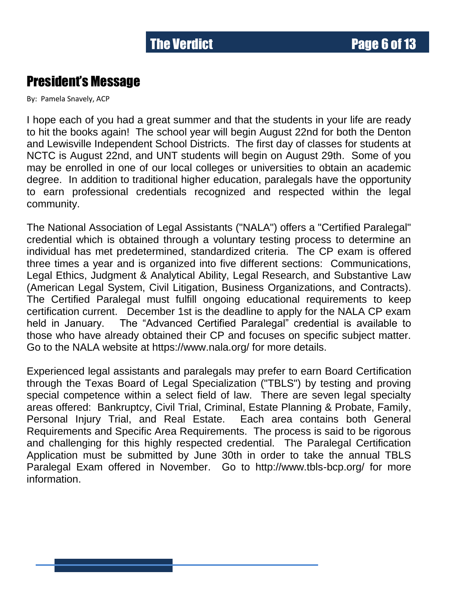### President's Message

By: Pamela Snavely, ACP

I hope each of you had a great summer and that the students in your life are ready to hit the books again! The school year will begin August 22nd for both the Denton and Lewisville Independent School Districts. The first day of classes for students at NCTC is August 22nd, and UNT students will begin on August 29th. Some of you may be enrolled in one of our local colleges or universities to obtain an academic degree. In addition to traditional higher education, paralegals have the opportunity to earn professional credentials recognized and respected within the legal community.

The National Association of Legal Assistants ("NALA") offers a "Certified Paralegal" credential which is obtained through a voluntary testing process to determine an individual has met predetermined, standardized criteria. The CP exam is offered three times a year and is organized into five different sections: Communications, Legal Ethics, Judgment & Analytical Ability, Legal Research, and Substantive Law (American Legal System, Civil Litigation, Business Organizations, and Contracts). The Certified Paralegal must fulfill ongoing educational requirements to keep certification current. December 1st is the deadline to apply for the NALA CP exam held in January. The "Advanced Certified Paralegal" credential is available to those who have already obtained their CP and focuses on specific subject matter. Go to the NALA website at https://www.nala.org/ for more details.

Experienced legal assistants and paralegals may prefer to earn Board Certification through the Texas Board of Legal Specialization ("TBLS") by testing and proving special competence within a select field of law. There are seven legal specialty areas offered: Bankruptcy, Civil Trial, Criminal, Estate Planning & Probate, Family, Personal Injury Trial, and Real Estate. Each area contains both General Requirements and Specific Area Requirements. The process is said to be rigorous and challenging for this highly respected credential. The Paralegal Certification Application must be submitted by June 30th in order to take the annual TBLS Paralegal Exam offered in November. Go to http://www.tbls-bcp.org/ for more information.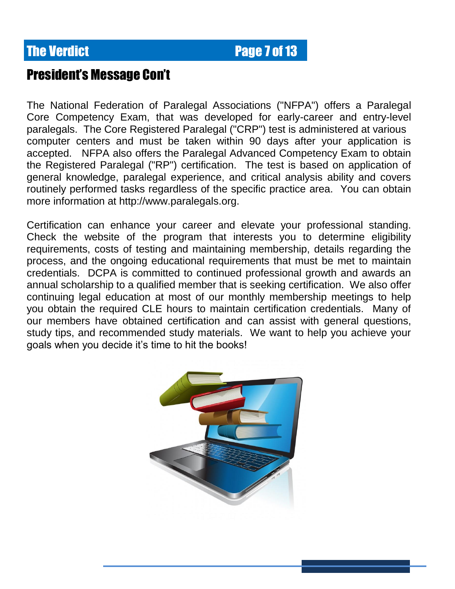# **The Verdict Electronic Electronic Page 7 of 13**

### President's Message Con't

The National Federation of Paralegal Associations ("NFPA") offers a Paralegal Core Competency Exam, that was developed for early-career and entry-level paralegals. The Core Registered Paralegal ("CRP") test is administered at various computer centers and must be taken within 90 days after your application is accepted. NFPA also offers the Paralegal Advanced Competency Exam to obtain the Registered Paralegal ("RP") certification. The test is based on application of general knowledge, paralegal experience, and critical analysis ability and covers routinely performed tasks regardless of the specific practice area. You can obtain more information at http://www.paralegals.org.

Certification can enhance your career and elevate your professional standing. Check the website of the program that interests you to determine eligibility requirements, costs of testing and maintaining membership, details regarding the process, and the ongoing educational requirements that must be met to maintain credentials. DCPA is committed to continued professional growth and awards an annual scholarship to a qualified member that is seeking certification. We also offer continuing legal education at most of our monthly membership meetings to help you obtain the required CLE hours to maintain certification credentials. Many of our members have obtained certification and can assist with general questions, study tips, and recommended study materials. We want to help you achieve your goals when you decide it's time to hit the books!

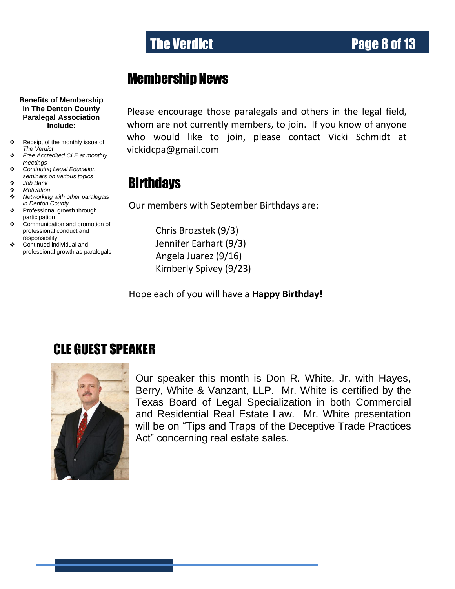### Membership News

#### **Benefits of Membership In The Denton County Paralegal Association Include:**

- $\div$  Receipt of the monthly issue of *The Verdict*
- *Free Accredited CLE at monthly meetings*
- *Continuing Legal Education seminars on various topics*
- *Job Bank*
- *Motivation*
- *Networking with other paralegals in Denton County*
- ❖ Professional growth through participation
- Communication and promotion of professional conduct and responsibility
- Continued individual and professional growth as paralegals

Please encourage those paralegals and others in the legal field, whom are not currently members, to join. If you know of anyone who would like to join, please contact Vicki Schmidt at vickidcpa@gmail.com

### **Birthdays**

Our members with September Birthdays are:

Chris Brozstek (9/3) Jennifer Earhart (9/3) Angela Juarez (9/16) Kimberly Spivey (9/23)

Hope each of you will have a **Happy Birthday!**

# CLE GUEST SPEAKER



Our speaker this month is Don R. White, Jr. with Hayes, Berry, White & Vanzant, LLP. Mr. White is certified by the Texas Board of Legal Specialization in both Commercial and Residential Real Estate Law. Mr. White presentation will be on "Tips and Traps of the Deceptive Trade Practices Act" concerning real estate sales.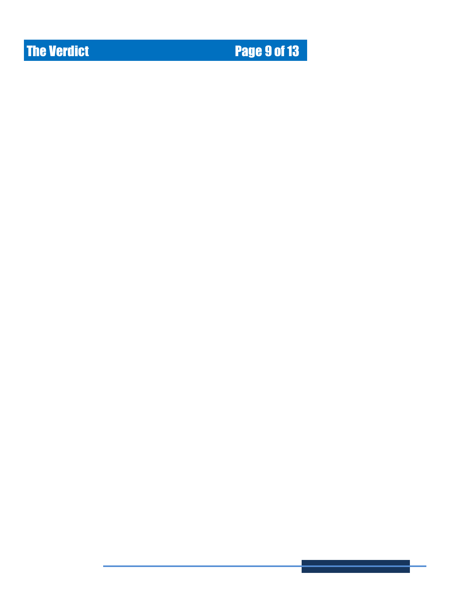**The Verdict Community Community Page 9 of 13**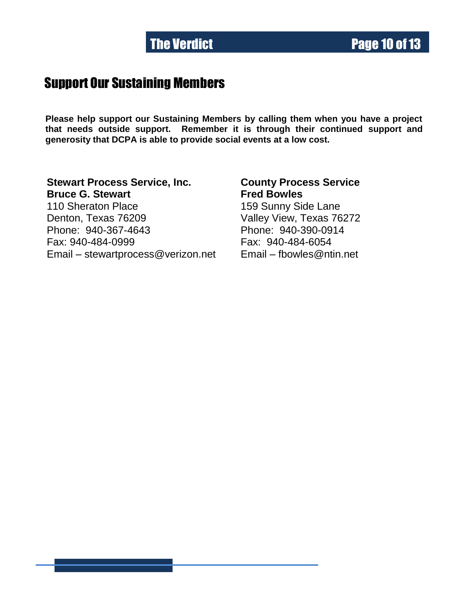### Support Our Sustaining Members

**Please help support our Sustaining Members by calling them when you have a project that needs outside support. Remember it is through their continued support and generosity that DCPA is able to provide social events at a low cost.**

#### **Stewart Process Service, Inc. County Process Service Bruce G. Stewart Fred Bowles**

110 Sheraton Place 159 Sunny Side Lane Denton, Texas 76209 Valley View, Texas 76272 Phone: 940-367-4643 Phone: 940-390-0914 Fax: 940-484-0999 Fax: 940-484-6054 Email – stewartprocess@verizon.net Email – fbowles@ntin.net

# **The Verdict Community Community Page 10 of 13**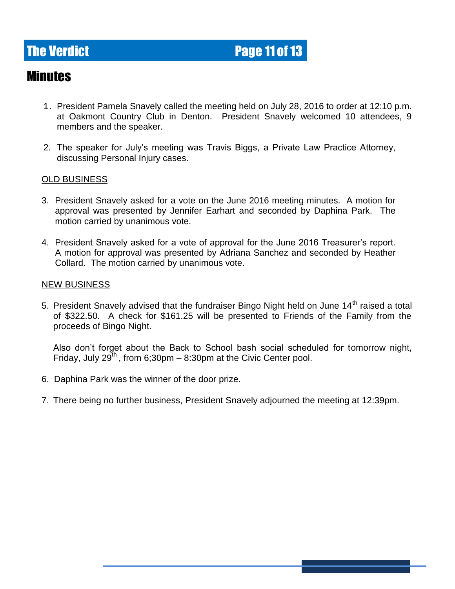# **The Verdict Page 11 of 13**

#### **Minutes**

- 1. President Pamela Snavely called the meeting held on July 28, 2016 to order at 12:10 p.m. at Oakmont Country Club in Denton. President Snavely welcomed 10 attendees, 9 members and the speaker.
- 2. The speaker for July's meeting was Travis Biggs, a Private Law Practice Attorney, discussing Personal Injury cases.

#### OLD BUSINESS

- 3. President Snavely asked for a vote on the June 2016 meeting minutes. A motion for approval was presented by Jennifer Earhart and seconded by Daphina Park. The motion carried by unanimous vote.
- 4. President Snavely asked for a vote of approval for the June 2016 Treasurer's report. A motion for approval was presented by Adriana Sanchez and seconded by Heather Collard. The motion carried by unanimous vote.

#### NEW BUSINESS

5. President Snavely advised that the fundraiser Bingo Night held on June 14<sup>th</sup> raised a total of \$322.50. A check for \$161.25 will be presented to Friends of the Family from the proceeds of Bingo Night.

Also don't forget about the Back to School bash social scheduled for tomorrow night, Friday, July  $29^{th}$ , from 6;30pm – 8:30pm at the Civic Center pool.

- 6. Daphina Park was the winner of the door prize.
- 7. There being no further business, President Snavely adjourned the meeting at 12:39pm.